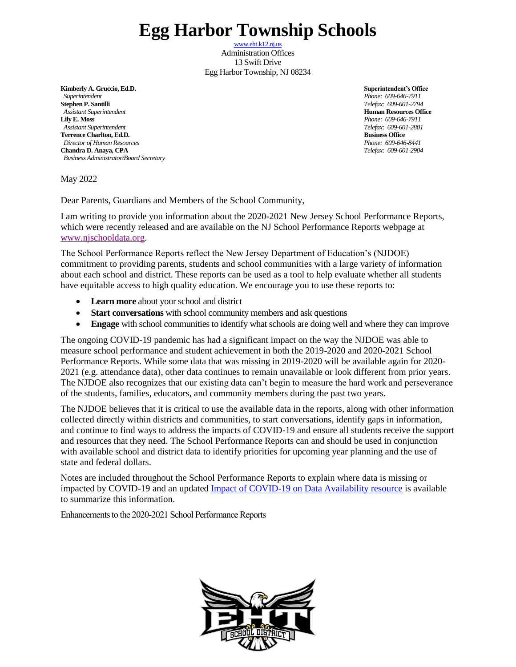## **Egg Harbor Township Schools**

[www.eht.k12.nj.us](http://www.eht.k12.nj.us/) Administration Offices 13 Swift Drive Egg Harbor Township, NJ 08234

**Kimberly A. Gruccio, Ed.D. Superintendent's Office**  *Superintendent Phone: 609-646-7911* **Stephen P. Santilli** *Telefax: 609-601-2794 Assistant Superintendent* **Human Resources Office Lily E. Moss** *Phone: 609-646-7911 Assistant Superintendent Telefax: 609-601-2801* **Terrence Charlton, Ed.D. Business Office** *Director of Human Resources Phone: 609-646-8441* **Chandra D. Anaya, CPA** *Telefax: 609-601-2904 Business Administrator/Board Secretary*

May 2022

Dear Parents, Guardians and Members of the School Community,

I am writing to provide you information about the 2020-2021 New Jersey School Performance Reports, which were recently released and are available on the NJ School Performance Reports webpage at [www.njschooldata.org.](http://www.njschooldata.org/)

The School Performance Reports reflect the New Jersey Department of Education's (NJDOE) commitment to providing parents, students and school communities with a large variety of information about each school and district. These reports can be used as a tool to help evaluate whether all students have equitable access to high quality education. We encourage you to use these reports to:

- **Learn more** about your school and district
- **Start conversations** with school community members and ask questions
- **Engage** with school communities to identify what schools are doing well and where they can improve

The ongoing COVID-19 pandemic has had a significant impact on the way the NJDOE was able to measure school performance and student achievement in both the 2019-2020 and 2020-2021 School Performance Reports. While some data that was missing in 2019-2020 will be available again for 2020- 2021 (e.g. attendance data), other data continues to remain unavailable or look different from prior years. The NJDOE also recognizes that our existing data can't begin to measure the hard work and perseverance of the students, families, educators, and community members during the past two years.

The NJDOE believes that it is critical to use the available data in the reports, along with other information collected directly within districts and communities, to start conversations, identify gaps in information, and continue to find ways to address the impacts of COVID-19 and ensure all students receive the support and resources that they need. The School Performance Reports can and should be used in conjunction with available school and district data to identify priorities for upcoming year planning and the use of state and federal dollars.

Notes are included throughout the School Performance Reports to explain where data is missing or impacted by COVID-19 and an updated [Impact of COVID-19 on Data Availability resource](https://www.nj.gov/education/schoolperformance/resources/docs/2020-21_SchoolPerformanceReports_ImpactOf_COVID-19_on_DataAvailability.pdf) is available to summarize this information.

Enhancements to the 2020-2021 School Performance Reports